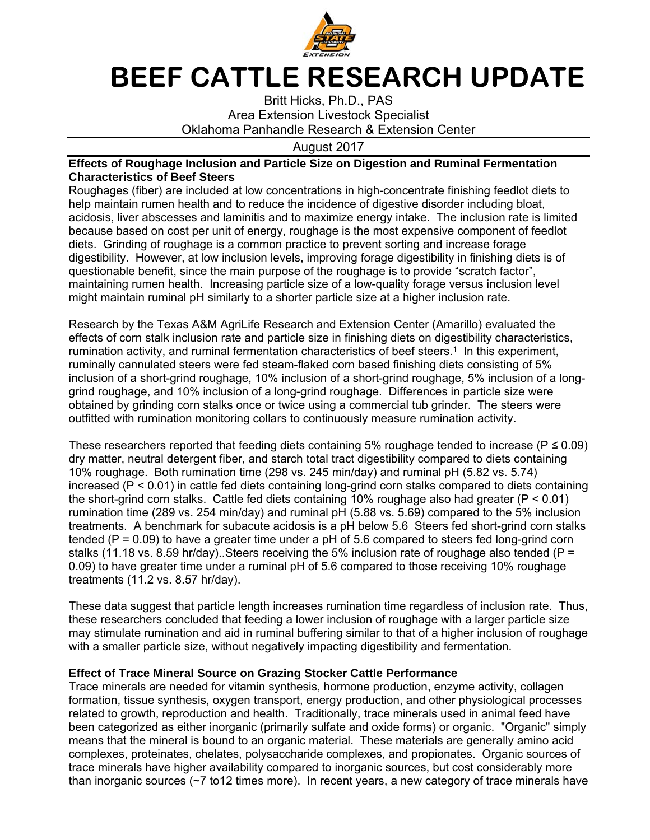

## **BEEF CATTLE RESEARCH UPDATE**

Britt Hicks, Ph.D., PAS Area Extension Livestock Specialist Oklahoma Panhandle Research & Extension Center

## August 2017

## **Effects of Roughage Inclusion and Particle Size on Digestion and Ruminal Fermentation Characteristics of Beef Steers**

Roughages (fiber) are included at low concentrations in high-concentrate finishing feedlot diets to help maintain rumen health and to reduce the incidence of digestive disorder including bloat, acidosis, liver abscesses and laminitis and to maximize energy intake. The inclusion rate is limited because based on cost per unit of energy, roughage is the most expensive component of feedlot diets. Grinding of roughage is a common practice to prevent sorting and increase forage digestibility. However, at low inclusion levels, improving forage digestibility in finishing diets is of questionable benefit, since the main purpose of the roughage is to provide "scratch factor", maintaining rumen health. Increasing particle size of a low-quality forage versus inclusion level might maintain ruminal pH similarly to a shorter particle size at a higher inclusion rate.

Research by the Texas A&M AgriLife Research and Extension Center (Amarillo) evaluated the effects of corn stalk inclusion rate and particle size in finishing diets on digestibility characteristics, rumination activity, and ruminal fermentation characteristics of beef steers.<sup>1</sup> In this experiment, ruminally cannulated steers were fed steam-flaked corn based finishing diets consisting of 5% inclusion of a short-grind roughage, 10% inclusion of a short-grind roughage, 5% inclusion of a longgrind roughage, and 10% inclusion of a long-grind roughage. Differences in particle size were obtained by grinding corn stalks once or twice using a commercial tub grinder. The steers were outfitted with rumination monitoring collars to continuously measure rumination activity.

These researchers reported that feeding diets containing 5% roughage tended to increase ( $P \le 0.09$ ) dry matter, neutral detergent fiber, and starch total tract digestibility compared to diets containing 10% roughage. Both rumination time (298 vs. 245 min/day) and ruminal pH (5.82 vs. 5.74) increased (P < 0.01) in cattle fed diets containing long-grind corn stalks compared to diets containing the short-grind corn stalks. Cattle fed diets containing 10% roughage also had greater (P < 0.01) rumination time (289 vs. 254 min/day) and ruminal pH (5.88 vs. 5.69) compared to the 5% inclusion treatments. A benchmark for subacute acidosis is a pH below 5.6 Steers fed short-grind corn stalks tended ( $P = 0.09$ ) to have a greater time under a  $pH$  of 5.6 compared to steers fed long-grind corn stalks (11.18 vs. 8.59 hr/day). Steers receiving the 5% inclusion rate of roughage also tended ( $P =$ 0.09) to have greater time under a ruminal pH of 5.6 compared to those receiving 10% roughage treatments (11.2 vs. 8.57 hr/day).

These data suggest that particle length increases rumination time regardless of inclusion rate. Thus, these researchers concluded that feeding a lower inclusion of roughage with a larger particle size may stimulate rumination and aid in ruminal buffering similar to that of a higher inclusion of roughage with a smaller particle size, without negatively impacting digestibility and fermentation.

## **Effect of Trace Mineral Source on Grazing Stocker Cattle Performance**

Trace minerals are needed for vitamin synthesis, hormone production, enzyme activity, collagen formation, tissue synthesis, oxygen transport, energy production, and other physiological processes related to growth, reproduction and health. Traditionally, trace minerals used in animal feed have been categorized as either inorganic (primarily sulfate and oxide forms) or organic. "Organic" simply means that the mineral is bound to an organic material. These materials are generally amino acid complexes, proteinates, chelates, polysaccharide complexes, and propionates. Organic sources of trace minerals have higher availability compared to inorganic sources, but cost considerably more than inorganic sources  $(\sim 7 \text{ to } 12 \text{ times more})$ . In recent years, a new category of trace minerals have